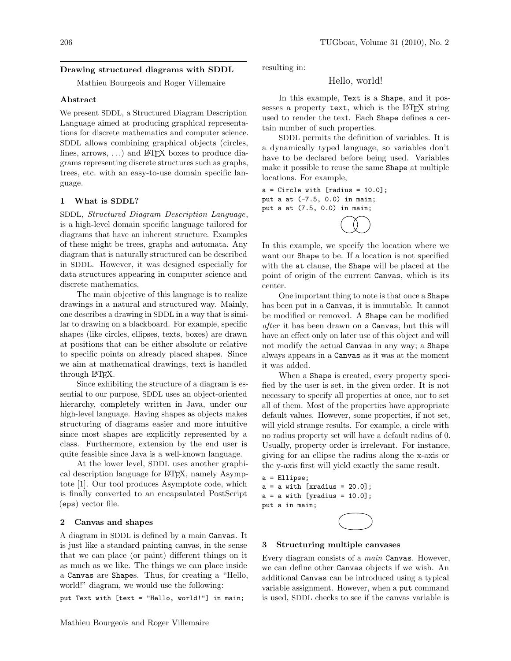## Drawing structured diagrams with SDDL

Mathieu Bourgeois and Roger Villemaire

## Abstract

We present SDDL, a Structured Diagram Description Language aimed at producing graphical representations for discrete mathematics and computer science. SDDL allows combining graphical objects (circles, lines, arrows,  $\ldots$ ) and LAT<sub>E</sub>X boxes to produce diagrams representing discrete structures such as graphs, trees, etc. with an easy-to-use domain specific language.

## 1 What is SDDL?

SDDL, Structured Diagram Description Language, is a high-level domain specific language tailored for diagrams that have an inherent structure. Examples of these might be trees, graphs and automata. Any diagram that is naturally structured can be described in SDDL. However, it was designed especially for data structures appearing in computer science and discrete mathematics.

The main objective of this language is to realize drawings in a natural and structured way. Mainly, one describes a drawing in SDDL in a way that is similar to drawing on a blackboard. For example, specific shapes (like circles, ellipses, texts, boxes) are drawn at positions that can be either absolute or relative to specific points on already placed shapes. Since we aim at mathematical drawings, text is handled through LAT<sub>F</sub>X.

Since exhibiting the structure of a diagram is essential to our purpose, SDDL uses an object-oriented hierarchy, completely written in Java, under our high-level language. Having shapes as objects makes structuring of diagrams easier and more intuitive since most shapes are explicitly represented by a class. Furthermore, extension by the end user is quite feasible since Java is a well-known language.

At the lower level, SDDL uses another graphical description language for LATEX, namely Asymptote [\[1\]](#page-4-0). Our tool produces Asymptote code, which is finally converted to an encapsulated PostScript (eps) vector file.

## 2 Canvas and shapes

A diagram in SDDL is defined by a main Canvas. It is just like a standard painting canvas, in the sense that we can place (or paint) different things on it as much as we like. The things we can place inside a Canvas are Shapes. Thus, for creating a "Hello, world!" diagram, we would use the following:

put Text with [text = "Hello, world!"] in main;

resulting in:

## Hello, world!

In this example, Text is a Shape, and it possesses a property text, which is the LAT<sub>F</sub>X string used to render the text. Each Shape defines a certain number of such properties.

SDDL permits the definition of variables. It is a dynamically typed language, so variables don't have to be declared before being used. Variables make it possible to reuse the same Shape at multiple locations. For example,

 $a =$  Circle with [radius = 10.0]; put a at (-7.5, 0.0) in main; put a at (7.5, 0.0) in main;



In this example, we specify the location where we want our Shape to be. If a location is not specified with the at clause, the Shape will be placed at the point of origin of the current Canvas, which is its center.

One important thing to note is that once a Shape has been put in a Canvas, it is immutable. It cannot be modified or removed. A Shape can be modified after it has been drawn on a Canvas, but this will have an effect only on later use of this object and will not modify the actual Canvas in any way; a Shape always appears in a Canvas as it was at the moment it was added.

When a Shape is created, every property specified by the user is set, in the given order. It is not necessary to specify all properties at once, nor to set all of them. Most of the properties have appropriate default values. However, some properties, if not set, will yield strange results. For example, a circle with no radius property set will have a default radius of 0. Usually, property order is irrelevant. For instance, giving for an ellipse the radius along the x-axis or the y-axis first will yield exactly the same result.

a = Ellipse;  $a = a$  with [xradius = 20.0];  $a = a$  with [yradius = 10.0]; put a in main;



### 3 Structuring multiple canvases

Every diagram consists of a *main* Canvas. However, we can define other Canvas objects if we wish. An additional Canvas can be introduced using a typical variable assignment. However, when a put command is used, SDDL checks to see if the canvas variable is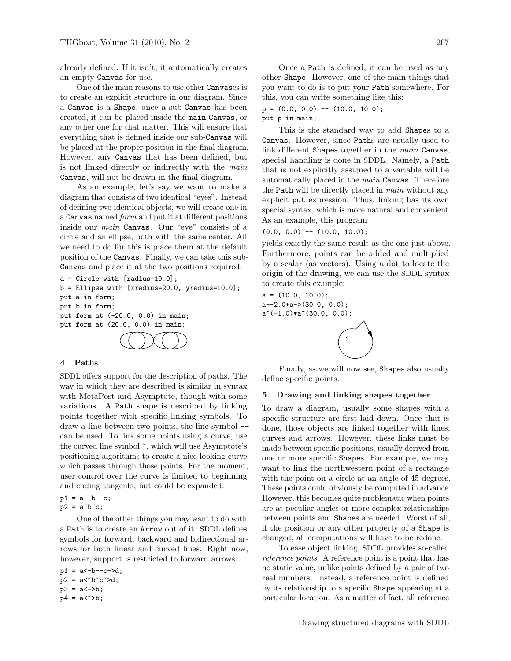already defined. If it isn't, it automatically creates an empty Canvas for use.

One of the main reasons to use other Canvases is to create an explicit structure in our diagram. Since a Canvas is a Shape, once a sub-Canvas has been created, it can be placed inside the main Canvas, or any other one for that matter. This will ensure that everything that is defined inside our sub-Canvas will be placed at the proper position in the final diagram. However, any Canvas that has been defined, but is not linked directly or indirectly with the main Canvas, will not be drawn in the final diagram.

As an example, let's say we want to make a diagram that consists of two identical "eyes". Instead of defining two identical objects, we will create one in a Canvas named form and put it at different positions inside our main Canvas. Our "eye" consists of a circle and an ellipse, both with the same center. All we need to do for this is place them at the default position of the Canvas. Finally, we can take this sub-Canvas and place it at the two positions required.

```
a = Circle with [radius=10.0];
b = Ellipse with [xradius=20.0, yradius=10.0];
put a in form;
put b in form;
put form at (-20.0, 0.0) in main;
put form at (20.0, 0.0) in main;
```
### 4 Paths

SDDL offers support for the description of paths. The way in which they are described is similar in syntax with MetaPost and Asymptote, though with some variations. A Path shape is described by linking points together with specific linking symbols. To draw a line between two points, the line symbol - can be used. To link some points using a curve, use the curved line symbol ~, which will use Asymptote's positioning algorithms to create a nice-looking curve which passes through those points. For the moment, user control over the curve is limited to beginning and ending tangents, but could be expanded.

```
p1 = a--b--c;
p2 = a^{\sim}b^{\sim}c;
```
One of the other things you may want to do with a Path is to create an Arrow out of it. SDDL defines symbols for forward, backward and bidirectional arrows for both linear and curved lines. Right now, however, support is restricted to forward arrows.

 $p1 = a < -b - -c - >d$ ;  $p2 = a < b c^c$  $p3 = a < -b;$  $p4 = a <sup>2</sup>$ 

Once a Path is defined, it can be used as any other Shape. However, one of the main things that you want to do is to put your Path somewhere. For this, you can write something like this:

 $p = (0.0, 0.0)$  --  $(10.0, 10.0)$ ; put p in main;

This is the standard way to add Shapes to a Canvas. However, since Paths are usually used to link different Shapes together in the *main* Canvas, special handling is done in SDDL. Namely, a Path that is not explicitly assigned to a variable will be automatically placed in the main Canvas. Therefore the Path will be directly placed in *main* without any explicit put expression. Thus, linking has its own special syntax, which is more natural and convenient. As an example, this program

$$
(0.0, 0.0) -- (10.0, 10.0);
$$

yields exactly the same result as the one just above. Furthermore, points can be added and multiplied by a scalar (as vectors). Using a dot to locate the origin of the drawing, we can use the SDDL syntax to create this example:

 $a = (10.0, 10.0);$  $a=-2.0*a\rightarrow(30.0, 0.0);$ a~(-1.0)\*a~(30.0, 0.0);

Finally, as we will now see, Shapes also usually define specific points.

## 5 Drawing and linking shapes together

To draw a diagram, usually some shapes with a specific structure are first laid down. Once that is done, those objects are linked together with lines, curves and arrows. However, these links must be made between specific positions, usually derived from one or more specific Shapes. For example, we may want to link the northwestern point of a rectangle with the point on a circle at an angle of 45 degrees. These points could obviously be computed in advance. However, this becomes quite problematic when points are at peculiar angles or more complex relationships between points and Shapes are needed. Worst of all, if the position or any other property of a Shape is changed, all computations will have to be redone.

To ease object linking, SDDL provides so-called reference points. A reference point is a point that has no static value, unlike points defined by a pair of two real numbers. Instead, a reference point is defined by its relationship to a specific Shape appearing at a particular location. As a matter of fact, all reference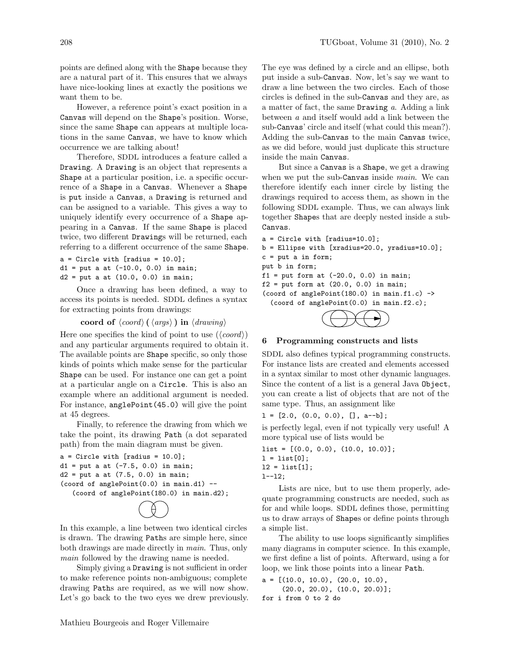points are defined along with the Shape because they are a natural part of it. This ensures that we always have nice-looking lines at exactly the positions we want them to be.

However, a reference point's exact position in a Canvas will depend on the Shape's position. Worse, since the same Shape can appears at multiple locations in the same Canvas, we have to know which occurrence we are talking about!

Therefore, SDDL introduces a feature called a Drawing. A Drawing is an object that represents a Shape at a particular position, i.e. a specific occurrence of a Shape in a Canvas. Whenever a Shape is put inside a Canvas, a Drawing is returned and can be assigned to a variable. This gives a way to uniquely identify every occurrence of a Shape appearing in a Canvas. If the same Shape is placed twice, two different Drawings will be returned, each referring to a different occurrence of the same Shape.

 $a =$  Circle with [radius = 10.0];  $d1 = put a at (-10.0, 0.0) in main;$  $d2 = put a at (10.0, 0.0) in main;$ 

Once a drawing has been defined, a way to access its points is needed. SDDL defines a syntax for extracting points from drawings:

coord of  $\langle coord \rangle (\langle args \rangle)$  in  $\langle drawing \rangle$ 

Here one specifies the kind of point to use  $(\langle coord \rangle)$ and any particular arguments required to obtain it. The available points are Shape specific, so only those kinds of points which make sense for the particular Shape can be used. For instance one can get a point at a particular angle on a Circle. This is also an example where an additional argument is needed. For instance, anglePoint(45.0) will give the point at 45 degrees.

Finally, to reference the drawing from which we take the point, its drawing Path (a dot separated path) from the main diagram must be given.

```
a = Circle with [radius = 10.0];
d1 = put a at (-7.5, 0.0) in main;d2 = put a at (7.5, 0.0) in main;(coord of anglePoint(0.0) in main.d1) --
   (coord of anglePoint(180.0) in main.d2);
```


In this example, a line between two identical circles is drawn. The drawing Paths are simple here, since both drawings are made directly in main. Thus, only main followed by the drawing name is needed.

Simply giving a Drawing is not sufficient in order to make reference points non-ambiguous; complete drawing Paths are required, as we will now show. Let's go back to the two eyes we drew previously. The eye was defined by a circle and an ellipse, both put inside a sub-Canvas. Now, let's say we want to draw a line between the two circles. Each of those circles is defined in the sub-Canvas and they are, as a matter of fact, the same **Drawing**  $a$ . Adding a link between a and itself would add a link between the sub-Canvas' circle and itself (what could this mean?). Adding the sub-Canvas to the main Canvas twice, as we did before, would just duplicate this structure inside the main Canvas.

But since a Canvas is a Shape, we get a drawing when we put the sub-Canvas inside *main*. We can therefore identify each inner circle by listing the drawings required to access them, as shown in the following SDDL example. Thus, we can always link together Shapes that are deeply nested inside a sub-Canvas.

```
a = Circle with [radius=10.0];
b = Ellipse with [xradius=20.0, yradius=10.0];
c = put a in form;
put b in form;
f1 = put form at (-20.0, 0.0) in main;f2 = put form at (20.0, 0.0) in main;(coord of anglePoint(180.0) in main.f1.c) ->
  (coord of anglePoint(0.0) in main.f2.c);
```


#### 6 Programming constructs and lists

SDDL also defines typical programming constructs. For instance lists are created and elements accessed in a syntax similar to most other dynamic languages. Since the content of a list is a general Java Object, you can create a list of objects that are not of the same type. Thus, an assignment like

l = [2.0, (0.0, 0.0), [], a--b];

is perfectly legal, even if not typically very useful! A more typical use of lists would be

 $list = [(0.0, 0.0), (10.0, 10.0)];$  $1 = list[0];$  $12 = list[1];$ l--l2;

Lists are nice, but to use them properly, adequate programming constructs are needed, such as for and while loops. SDDL defines those, permitting us to draw arrays of Shapes or define points through a simple list.

The ability to use loops significantly simplifies many diagrams in computer science. In this example, we first define a list of points. Afterward, using a for loop, we link those points into a linear Path.

```
a = [(10.0, 10.0), (20.0, 10.0),](20.0, 20.0), (10.0, 20.0)];
for i from 0 to 2 do
```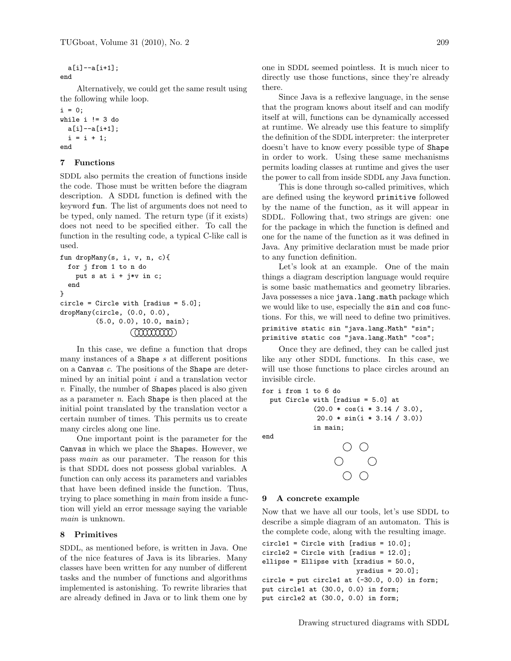a[i]--a[i+1]; end

Alternatively, we could get the same result using the following while loop.

```
i = 0;while i != 3 do
 a[i]--a[i+1];
  i = i + 1;end
```
## 7 Functions

SDDL also permits the creation of functions inside the code. Those must be written before the diagram description. A SDDL function is defined with the keyword fun. The list of arguments does not need to be typed, only named. The return type (if it exists) does not need to be specified either. To call the function in the resulting code, a typical C-like call is used.

```
fun dropMany(s, i, v, n, c){
 for j from 1 to n do
    put s at i + j*v in c;
  end
}
circle = Circle with [radius = 5.0];
dropMany(circle, (0.0, 0.0),
         (5.0, 0.0), 10.0, main);
                  (000000000)
```
In this case, we define a function that drops many instances of a Shape  $s$  at different positions on a Canvas c. The positions of the Shape are determined by an initial point  $i$  and a translation vector v. Finally, the number of Shapes placed is also given as a parameter n. Each Shape is then placed at the initial point translated by the translation vector a certain number of times. This permits us to create many circles along one line.

One important point is the parameter for the Canvas in which we place the Shapes. However, we pass main as our parameter. The reason for this is that SDDL does not possess global variables. A function can only access its parameters and variables that have been defined inside the function. Thus, trying to place something in main from inside a function will yield an error message saying the variable main is unknown.

## 8 Primitives

SDDL, as mentioned before, is written in Java. One of the nice features of Java is its libraries. Many classes have been written for any number of different tasks and the number of functions and algorithms implemented is astonishing. To rewrite libraries that are already defined in Java or to link them one by one in SDDL seemed pointless. It is much nicer to directly use those functions, since they're already there.

Since Java is a reflexive language, in the sense that the program knows about itself and can modify itself at will, functions can be dynamically accessed at runtime. We already use this feature to simplify the definition of the SDDL interpreter: the interpreter doesn't have to know every possible type of Shape in order to work. Using these same mechanisms permits loading classes at runtime and gives the user the power to call from inside SDDL any Java function.

This is done through so-called primitives, which are defined using the keyword primitive followed by the name of the function, as it will appear in SDDL. Following that, two strings are given: one for the package in which the function is defined and one for the name of the function as it was defined in Java. Any primitive declaration must be made prior to any function definition.

Let's look at an example. One of the main things a diagram description language would require is some basic mathematics and geometry libraries. Java possesses a nice java.lang.math package which we would like to use, especially the sin and cos functions. For this, we will need to define two primitives.

```
primitive static sin "java.lang.Math" "sin";
primitive static cos "java.lang.Math" "cos";
```
Once they are defined, they can be called just like any other SDDL functions. In this case, we will use those functions to place circles around an invisible circle.

```
for i from 1 to 6 do
```

```
put Circle with [radius = 5.0] at
           (20.0 * cos(i * 3.14 / 3.0),
            20.0 * sin(i * 3.14 / 3.0))
           in main;
```
end



### 9 A concrete example

Now that we have all our tools, let's use SDDL to describe a simple diagram of an automaton. This is the complete code, along with the resulting image.

```
circled = Circle with [radius = 10.0];circle2 = Circle with [radius = 12.0];ellipse = Ellipse with [xradius = 50.0,
                        yradius = 20.0];
circle = put circle1 at (-30.0, 0.0) in form;
put circle1 at (30.0, 0.0) in form;
put circle2 at (30.0, 0.0) in form;
```